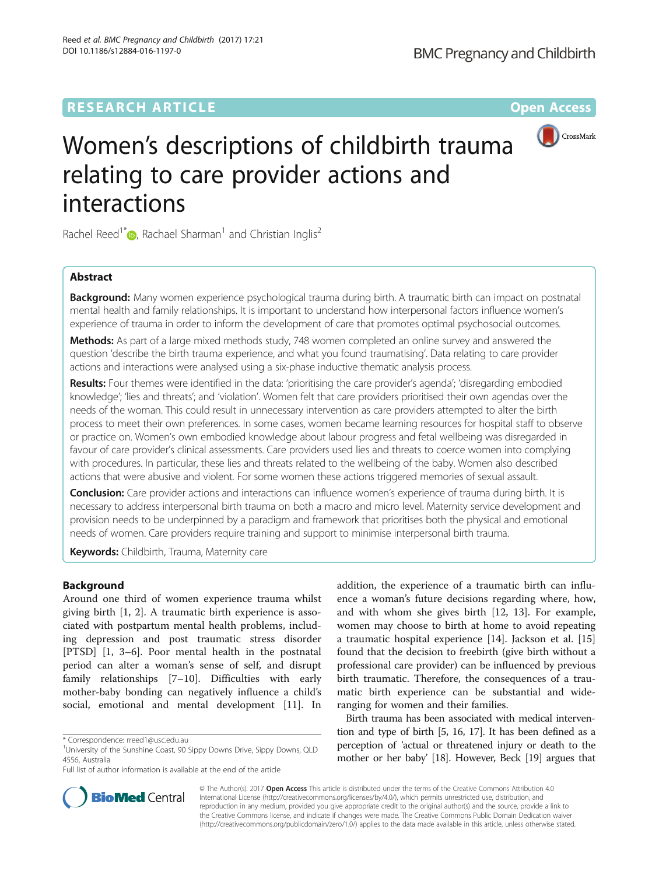# **RESEARCH ARTICLE Example 2014 12:30 The Contract of Contract ACCESS**



# Women's descriptions of childbirth trauma relating to care provider actions and interactions

Rachel Reed<sup>1\*</sup><sup> $\bullet$ </sup>[,](http://orcid.org/0000-0003-0979-2895) Rachael Sharman<sup>1</sup> and Christian Inglis<sup>2</sup>

# Abstract

**Background:** Many women experience psychological trauma during birth. A traumatic birth can impact on postnatal mental health and family relationships. It is important to understand how interpersonal factors influence women's experience of trauma in order to inform the development of care that promotes optimal psychosocial outcomes.

Methods: As part of a large mixed methods study, 748 women completed an online survey and answered the question 'describe the birth trauma experience, and what you found traumatising'. Data relating to care provider actions and interactions were analysed using a six-phase inductive thematic analysis process.

Results: Four themes were identified in the data: 'prioritising the care provider's agenda'; 'disregarding embodied knowledge'; 'lies and threats'; and 'violation'. Women felt that care providers prioritised their own agendas over the needs of the woman. This could result in unnecessary intervention as care providers attempted to alter the birth process to meet their own preferences. In some cases, women became learning resources for hospital staff to observe or practice on. Women's own embodied knowledge about labour progress and fetal wellbeing was disregarded in favour of care provider's clinical assessments. Care providers used lies and threats to coerce women into complying with procedures. In particular, these lies and threats related to the wellbeing of the baby. Women also described actions that were abusive and violent. For some women these actions triggered memories of sexual assault.

Conclusion: Care provider actions and interactions can influence women's experience of trauma during birth. It is necessary to address interpersonal birth trauma on both a macro and micro level. Maternity service development and provision needs to be underpinned by a paradigm and framework that prioritises both the physical and emotional needs of women. Care providers require training and support to minimise interpersonal birth trauma.

Keywords: Childbirth, Trauma, Maternity care

# Background

Around one third of women experience trauma whilst giving birth [\[1](#page-8-0), [2\]](#page-8-0). A traumatic birth experience is associated with postpartum mental health problems, including depression and post traumatic stress disorder [PTSD] [[1, 3](#page-8-0)–[6\]](#page-8-0). Poor mental health in the postnatal period can alter a woman's sense of self, and disrupt family relationships [\[7](#page-8-0)–[10\]](#page-8-0). Difficulties with early mother-baby bonding can negatively influence a child's social, emotional and mental development [\[11\]](#page-8-0). In

addition, the experience of a traumatic birth can influence a woman's future decisions regarding where, how, and with whom she gives birth [\[12](#page-8-0), [13\]](#page-8-0). For example, women may choose to birth at home to avoid repeating a traumatic hospital experience [\[14](#page-8-0)]. Jackson et al. [[15](#page-8-0)] found that the decision to freebirth (give birth without a professional care provider) can be influenced by previous birth traumatic. Therefore, the consequences of a traumatic birth experience can be substantial and wideranging for women and their families.

Birth trauma has been associated with medical intervention and type of birth [[5](#page-8-0), [16](#page-8-0), [17](#page-8-0)]. It has been defined as a perception of 'actual or threatened injury or death to the mother or her baby' [\[18\]](#page-8-0). However, Beck [[19](#page-8-0)] argues that



© The Author(s). 2017 **Open Access** This article is distributed under the terms of the Creative Commons Attribution 4.0 International License [\(http://creativecommons.org/licenses/by/4.0/](http://creativecommons.org/licenses/by/4.0/)), which permits unrestricted use, distribution, and reproduction in any medium, provided you give appropriate credit to the original author(s) and the source, provide a link to the Creative Commons license, and indicate if changes were made. The Creative Commons Public Domain Dedication waiver [\(http://creativecommons.org/publicdomain/zero/1.0/](http://creativecommons.org/publicdomain/zero/1.0/)) applies to the data made available in this article, unless otherwise stated.

<sup>\*</sup> Correspondence: [rreed1@usc.edu.au](mailto:rreed1@usc.edu.au) <sup>1</sup>

<sup>&</sup>lt;sup>1</sup>University of the Sunshine Coast, 90 Sippy Downs Drive, Sippy Downs, QLD 4556, Australia

Full list of author information is available at the end of the article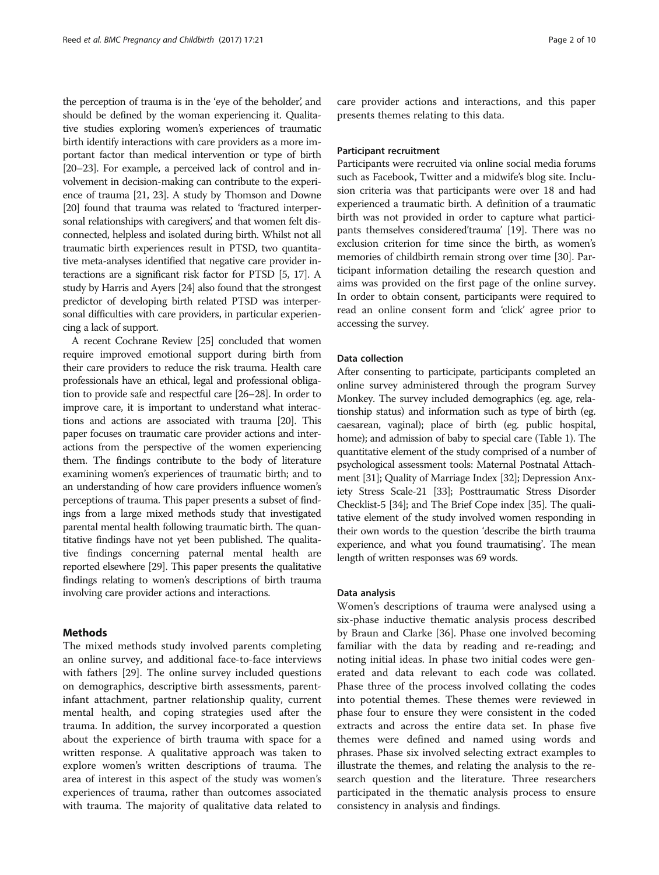the perception of trauma is in the 'eye of the beholder', and should be defined by the woman experiencing it. Qualitative studies exploring women's experiences of traumatic birth identify interactions with care providers as a more important factor than medical intervention or type of birth [[20](#page-8-0)–[23](#page-8-0)]. For example, a perceived lack of control and involvement in decision-making can contribute to the experience of trauma [\[21, 23\]](#page-8-0). A study by Thomson and Downe [[20](#page-8-0)] found that trauma was related to 'fractured interpersonal relationships with caregivers', and that women felt disconnected, helpless and isolated during birth. Whilst not all traumatic birth experiences result in PTSD, two quantitative meta-analyses identified that negative care provider interactions are a significant risk factor for PTSD [\[5, 17\]](#page-8-0). A study by Harris and Ayers [\[24](#page-8-0)] also found that the strongest predictor of developing birth related PTSD was interpersonal difficulties with care providers, in particular experiencing a lack of support.

A recent Cochrane Review [\[25](#page-8-0)] concluded that women require improved emotional support during birth from their care providers to reduce the risk trauma. Health care professionals have an ethical, legal and professional obligation to provide safe and respectful care [\[26](#page-8-0)–[28\]](#page-8-0). In order to improve care, it is important to understand what interactions and actions are associated with trauma [\[20\]](#page-8-0). This paper focuses on traumatic care provider actions and interactions from the perspective of the women experiencing them. The findings contribute to the body of literature examining women's experiences of traumatic birth; and to an understanding of how care providers influence women's perceptions of trauma. This paper presents a subset of findings from a large mixed methods study that investigated parental mental health following traumatic birth. The quantitative findings have not yet been published. The qualitative findings concerning paternal mental health are reported elsewhere [\[29](#page-8-0)]. This paper presents the qualitative findings relating to women's descriptions of birth trauma involving care provider actions and interactions.

# Methods

The mixed methods study involved parents completing an online survey, and additional face-to-face interviews with fathers [\[29](#page-8-0)]. The online survey included questions on demographics, descriptive birth assessments, parentinfant attachment, partner relationship quality, current mental health, and coping strategies used after the trauma. In addition, the survey incorporated a question about the experience of birth trauma with space for a written response. A qualitative approach was taken to explore women's written descriptions of trauma. The area of interest in this aspect of the study was women's experiences of trauma, rather than outcomes associated with trauma. The majority of qualitative data related to care provider actions and interactions, and this paper presents themes relating to this data.

#### Participant recruitment

Participants were recruited via online social media forums such as Facebook, Twitter and a midwife's blog site. Inclusion criteria was that participants were over 18 and had experienced a traumatic birth. A definition of a traumatic birth was not provided in order to capture what participants themselves considered'trauma' [\[19](#page-8-0)]. There was no exclusion criterion for time since the birth, as women's memories of childbirth remain strong over time [\[30\]](#page-8-0). Participant information detailing the research question and aims was provided on the first page of the online survey. In order to obtain consent, participants were required to read an online consent form and 'click' agree prior to accessing the survey.

# Data collection

After consenting to participate, participants completed an online survey administered through the program Survey Monkey. The survey included demographics (eg. age, relationship status) and information such as type of birth (eg. caesarean, vaginal); place of birth (eg. public hospital, home); and admission of baby to special care (Table [1](#page-2-0)). The quantitative element of the study comprised of a number of psychological assessment tools: Maternal Postnatal Attachment [[31](#page-8-0)]; Quality of Marriage Index [\[32\]](#page-8-0); Depression Anxiety Stress Scale-21 [[33](#page-8-0)]; Posttraumatic Stress Disorder Checklist-5 [[34](#page-8-0)]; and The Brief Cope index [\[35](#page-8-0)]. The qualitative element of the study involved women responding in their own words to the question 'describe the birth trauma experience, and what you found traumatising'. The mean length of written responses was 69 words.

#### Data analysis

Women's descriptions of trauma were analysed using a six-phase inductive thematic analysis process described by Braun and Clarke [\[36](#page-8-0)]. Phase one involved becoming familiar with the data by reading and re-reading; and noting initial ideas. In phase two initial codes were generated and data relevant to each code was collated. Phase three of the process involved collating the codes into potential themes. These themes were reviewed in phase four to ensure they were consistent in the coded extracts and across the entire data set. In phase five themes were defined and named using words and phrases. Phase six involved selecting extract examples to illustrate the themes, and relating the analysis to the research question and the literature. Three researchers participated in the thematic analysis process to ensure consistency in analysis and findings.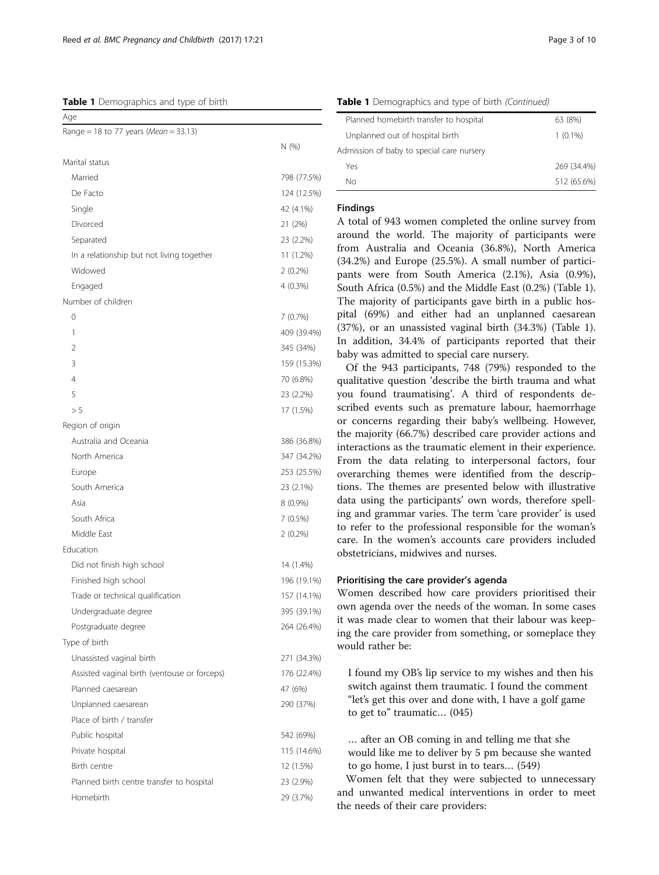#### <span id="page-2-0"></span>Table 1 Demographics and type of birth

| Age                                          |             |
|----------------------------------------------|-------------|
| Range = 18 to 77 years ( $Mean = 33.13$ )    |             |
|                                              | N (%)       |
| Marital status                               |             |
| Married                                      | 798 (77.5%) |
| De Facto                                     | 124 (12.5%) |
| Single                                       | 42 (4.1%)   |
| Divorced                                     | 21 (2%)     |
| Separated                                    | 23 (2.2%)   |
| In a relationship but not living together    | 11 (1.2%)   |
| Widowed                                      | $2(0.2\%)$  |
| Engaged                                      | $4(0.3\%)$  |
| Number of children                           |             |
| 0                                            | 7(0.7%)     |
| 1                                            | 409 (39.4%) |
| 2                                            | 345 (34%)   |
| 3                                            | 159 (15.3%) |
| $\overline{4}$                               | 70 (6.8%)   |
| 5                                            | 23 (2.2%)   |
| > 5                                          | 17 (1.5%)   |
| Region of origin                             |             |
| Australia and Oceania                        | 386 (36.8%) |
| North America                                | 347 (34.2%) |
| Europe                                       | 253 (25.5%) |
| South America                                | 23 (2.1%)   |
| Asia                                         | 8 (0.9%)    |
| South Africa                                 | 7(0.5%)     |
| Middle East                                  | $2(0.2\%)$  |
| Education                                    |             |
| Did not finish high school                   | 14 (1.4%)   |
| Finished high school                         | 196 (19.1%) |
| Trade or technical qualification             | 157 (14.1%) |
| Undergraduate degree                         | 395 (39.1%) |
| Postgraduate degree                          | 264 (26.4%) |
| Type of birth                                |             |
| Unassisted vaginal birth                     | 271 (34.3%) |
| Assisted vaginal birth (ventouse or forceps) | 176 (22.4%) |
| Planned caesarean                            | 47 (6%)     |
| Unplanned caesarean                          | 290 (37%)   |
| Place of birth / transfer                    |             |
| Public hospital                              | 542 (69%)   |
| Private hospital                             | 115 (14.6%) |
| Birth centre                                 | 12 (1.5%)   |
| Planned birth centre transfer to hospital    | 23 (2.9%)   |
| Homebirth                                    | 29 (3.7%)   |
|                                              |             |

# Table 1 Demographics and type of birth (Continued)

| Planned homebirth transfer to hospital    | 63 (8%)     |
|-------------------------------------------|-------------|
| Unplanned out of hospital birth           | $1(0.1\%)$  |
| Admission of baby to special care nursery |             |
| Yes                                       | 269 (34.4%) |
| Nο                                        | 512 (65.6%) |

# Findings

A total of 943 women completed the online survey from around the world. The majority of participants were from Australia and Oceania (36.8%), North America (34.2%) and Europe (25.5%). A small number of participants were from South America (2.1%), Asia (0.9%), South Africa (0.5%) and the Middle East (0.2%) (Table 1). The majority of participants gave birth in a public hospital (69%) and either had an unplanned caesarean (37%), or an unassisted vaginal birth (34.3%) (Table 1). In addition, 34.4% of participants reported that their baby was admitted to special care nursery.

Of the 943 participants, 748 (79%) responded to the qualitative question 'describe the birth trauma and what you found traumatising'. A third of respondents described events such as premature labour, haemorrhage or concerns regarding their baby's wellbeing. However, the majority (66.7%) described care provider actions and interactions as the traumatic element in their experience. From the data relating to interpersonal factors, four overarching themes were identified from the descriptions. The themes are presented below with illustrative data using the participants' own words, therefore spelling and grammar varies. The term 'care provider' is used to refer to the professional responsible for the woman's care. In the women's accounts care providers included obstetricians, midwives and nurses.

#### Prioritising the care provider's agenda

Women described how care providers prioritised their own agenda over the needs of the woman. In some cases it was made clear to women that their labour was keeping the care provider from something, or someplace they would rather be:

I found my OB's lip service to my wishes and then his switch against them traumatic. I found the comment "let's get this over and done with, I have a golf game to get to" traumatic… (045)

… after an OB coming in and telling me that she would like me to deliver by 5 pm because she wanted to go home, I just burst in to tears… (549)

Women felt that they were subjected to unnecessary and unwanted medical interventions in order to meet the needs of their care providers: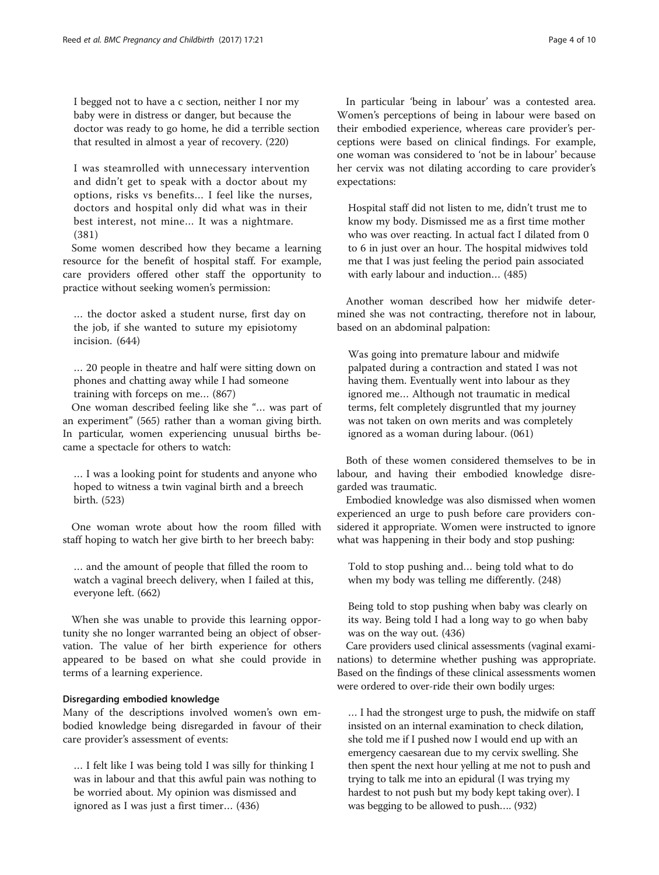I begged not to have a c section, neither I nor my baby were in distress or danger, but because the doctor was ready to go home, he did a terrible section that resulted in almost a year of recovery. (220)

I was steamrolled with unnecessary intervention and didn't get to speak with a doctor about my options, risks vs benefits… I feel like the nurses, doctors and hospital only did what was in their best interest, not mine… It was a nightmare. (381)

Some women described how they became a learning resource for the benefit of hospital staff. For example, care providers offered other staff the opportunity to practice without seeking women's permission:

… the doctor asked a student nurse, first day on the job, if she wanted to suture my episiotomy incision. (644)

… 20 people in theatre and half were sitting down on phones and chatting away while I had someone training with forceps on me… (867)

One woman described feeling like she "… was part of an experiment" (565) rather than a woman giving birth. In particular, women experiencing unusual births became a spectacle for others to watch:

… I was a looking point for students and anyone who hoped to witness a twin vaginal birth and a breech birth. (523)

One woman wrote about how the room filled with staff hoping to watch her give birth to her breech baby:

… and the amount of people that filled the room to watch a vaginal breech delivery, when I failed at this, everyone left. (662)

When she was unable to provide this learning opportunity she no longer warranted being an object of observation. The value of her birth experience for others appeared to be based on what she could provide in terms of a learning experience.

# Disregarding embodied knowledge

Many of the descriptions involved women's own embodied knowledge being disregarded in favour of their care provider's assessment of events:

… I felt like I was being told I was silly for thinking I was in labour and that this awful pain was nothing to be worried about. My opinion was dismissed and ignored as I was just a first timer… (436)

In particular 'being in labour' was a contested area. Women's perceptions of being in labour were based on their embodied experience, whereas care provider's perceptions were based on clinical findings. For example, one woman was considered to 'not be in labour' because her cervix was not dilating according to care provider's expectations:

Hospital staff did not listen to me, didn't trust me to know my body. Dismissed me as a first time mother who was over reacting. In actual fact I dilated from 0 to 6 in just over an hour. The hospital midwives told me that I was just feeling the period pain associated with early labour and induction… (485)

Another woman described how her midwife determined she was not contracting, therefore not in labour, based on an abdominal palpation:

Was going into premature labour and midwife palpated during a contraction and stated I was not having them. Eventually went into labour as they ignored me… Although not traumatic in medical terms, felt completely disgruntled that my journey was not taken on own merits and was completely ignored as a woman during labour. (061)

Both of these women considered themselves to be in labour, and having their embodied knowledge disregarded was traumatic.

Embodied knowledge was also dismissed when women experienced an urge to push before care providers considered it appropriate. Women were instructed to ignore what was happening in their body and stop pushing:

Told to stop pushing and… being told what to do when my body was telling me differently. (248)

Being told to stop pushing when baby was clearly on its way. Being told I had a long way to go when baby was on the way out. (436)

Care providers used clinical assessments (vaginal examinations) to determine whether pushing was appropriate. Based on the findings of these clinical assessments women were ordered to over-ride their own bodily urges:

… I had the strongest urge to push, the midwife on staff insisted on an internal examination to check dilation, she told me if I pushed now I would end up with an emergency caesarean due to my cervix swelling. She then spent the next hour yelling at me not to push and trying to talk me into an epidural (I was trying my hardest to not push but my body kept taking over). I was begging to be allowed to push…. (932)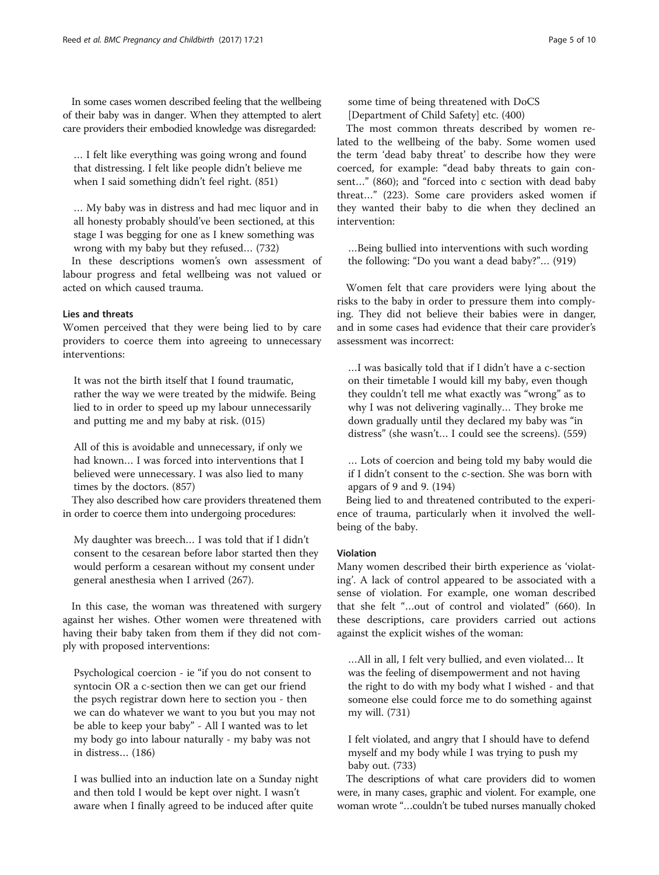In some cases women described feeling that the wellbeing of their baby was in danger. When they attempted to alert care providers their embodied knowledge was disregarded:

… I felt like everything was going wrong and found that distressing. I felt like people didn't believe me when I said something didn't feel right. (851)

… My baby was in distress and had mec liquor and in all honesty probably should've been sectioned, at this stage I was begging for one as I knew something was wrong with my baby but they refused… (732)

In these descriptions women's own assessment of labour progress and fetal wellbeing was not valued or acted on which caused trauma.

# Lies and threats

Women perceived that they were being lied to by care providers to coerce them into agreeing to unnecessary interventions:

It was not the birth itself that I found traumatic, rather the way we were treated by the midwife. Being lied to in order to speed up my labour unnecessarily and putting me and my baby at risk. (015)

All of this is avoidable and unnecessary, if only we had known… I was forced into interventions that I believed were unnecessary. I was also lied to many times by the doctors. (857)

They also described how care providers threatened them in order to coerce them into undergoing procedures:

My daughter was breech… I was told that if I didn't consent to the cesarean before labor started then they would perform a cesarean without my consent under general anesthesia when I arrived (267).

In this case, the woman was threatened with surgery against her wishes. Other women were threatened with having their baby taken from them if they did not comply with proposed interventions:

Psychological coercion - ie "if you do not consent to syntocin OR a c-section then we can get our friend the psych registrar down here to section you - then we can do whatever we want to you but you may not be able to keep your baby" - All I wanted was to let my body go into labour naturally - my baby was not in distress… (186)

I was bullied into an induction late on a Sunday night and then told I would be kept over night. I wasn't aware when I finally agreed to be induced after quite

some time of being threatened with DoCS [Department of Child Safety] etc. (400)

The most common threats described by women related to the wellbeing of the baby. Some women used the term 'dead baby threat' to describe how they were coerced, for example: "dead baby threats to gain consent…" (860); and "forced into c section with dead baby threat…" (223). Some care providers asked women if they wanted their baby to die when they declined an intervention:

…Being bullied into interventions with such wording the following: "Do you want a dead baby?"… (919)

Women felt that care providers were lying about the risks to the baby in order to pressure them into complying. They did not believe their babies were in danger, and in some cases had evidence that their care provider's assessment was incorrect:

…I was basically told that if I didn't have a c-section on their timetable I would kill my baby, even though they couldn't tell me what exactly was "wrong" as to why I was not delivering vaginally… They broke me down gradually until they declared my baby was "in distress" (she wasn't… I could see the screens). (559)

… Lots of coercion and being told my baby would die if I didn't consent to the c-section. She was born with apgars of 9 and 9. (194)

Being lied to and threatened contributed to the experience of trauma, particularly when it involved the wellbeing of the baby.

# Violation

Many women described their birth experience as 'violating'. A lack of control appeared to be associated with a sense of violation. For example, one woman described that she felt "…out of control and violated" (660). In these descriptions, care providers carried out actions against the explicit wishes of the woman:

…All in all, I felt very bullied, and even violated… It was the feeling of disempowerment and not having the right to do with my body what I wished - and that someone else could force me to do something against my will. (731)

I felt violated, and angry that I should have to defend myself and my body while I was trying to push my baby out. (733)

The descriptions of what care providers did to women were, in many cases, graphic and violent. For example, one woman wrote "…couldn't be tubed nurses manually choked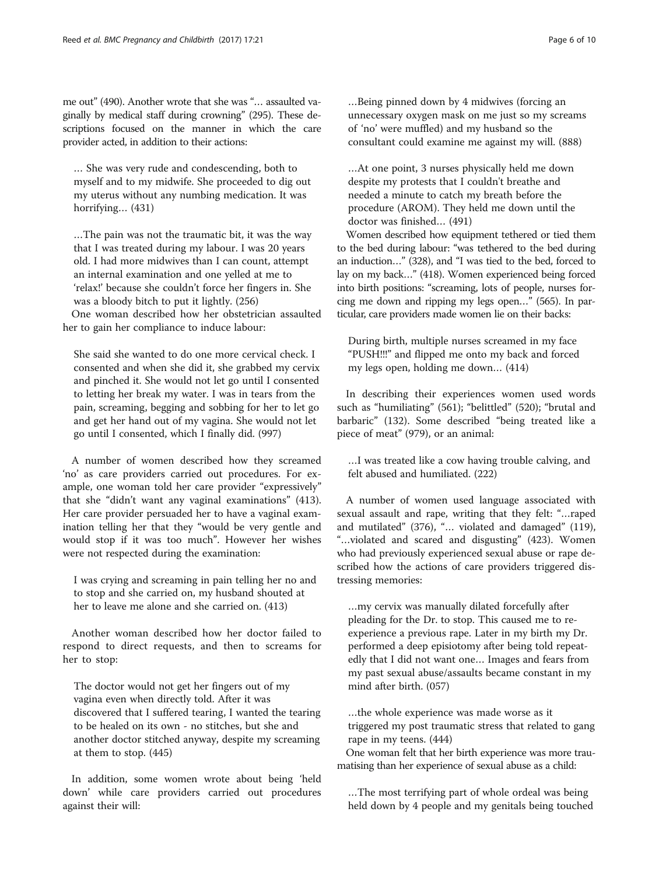me out" (490). Another wrote that she was "… assaulted vaginally by medical staff during crowning" (295). These descriptions focused on the manner in which the care provider acted, in addition to their actions:

… She was very rude and condescending, both to myself and to my midwife. She proceeded to dig out my uterus without any numbing medication. It was horrifying… (431)

…The pain was not the traumatic bit, it was the way that I was treated during my labour. I was 20 years old. I had more midwives than I can count, attempt an internal examination and one yelled at me to 'relax!' because she couldn't force her fingers in. She was a bloody bitch to put it lightly. (256)

One woman described how her obstetrician assaulted her to gain her compliance to induce labour:

She said she wanted to do one more cervical check. I consented and when she did it, she grabbed my cervix and pinched it. She would not let go until I consented to letting her break my water. I was in tears from the pain, screaming, begging and sobbing for her to let go and get her hand out of my vagina. She would not let go until I consented, which I finally did. (997)

A number of women described how they screamed 'no' as care providers carried out procedures. For example, one woman told her care provider "expressively" that she "didn't want any vaginal examinations" (413). Her care provider persuaded her to have a vaginal examination telling her that they "would be very gentle and would stop if it was too much". However her wishes were not respected during the examination:

I was crying and screaming in pain telling her no and to stop and she carried on, my husband shouted at her to leave me alone and she carried on. (413)

Another woman described how her doctor failed to respond to direct requests, and then to screams for her to stop:

The doctor would not get her fingers out of my vagina even when directly told. After it was discovered that I suffered tearing, I wanted the tearing to be healed on its own - no stitches, but she and another doctor stitched anyway, despite my screaming at them to stop. (445)

In addition, some women wrote about being 'held down' while care providers carried out procedures against their will:

…At one point, 3 nurses physically held me down despite my protests that I couldn't breathe and needed a minute to catch my breath before the procedure (AROM). They held me down until the doctor was finished… (491)

Women described how equipment tethered or tied them to the bed during labour: "was tethered to the bed during an induction…" (328), and "I was tied to the bed, forced to lay on my back…" (418). Women experienced being forced into birth positions: "screaming, lots of people, nurses forcing me down and ripping my legs open…" (565). In particular, care providers made women lie on their backs:

During birth, multiple nurses screamed in my face "PUSH!!!" and flipped me onto my back and forced my legs open, holding me down… (414)

In describing their experiences women used words such as "humiliating" (561); "belittled" (520); "brutal and barbaric" (132). Some described "being treated like a piece of meat" (979), or an animal:

…I was treated like a cow having trouble calving, and felt abused and humiliated. (222)

A number of women used language associated with sexual assault and rape, writing that they felt: "…raped and mutilated" (376), "… violated and damaged" (119), "…violated and scared and disgusting" (423). Women who had previously experienced sexual abuse or rape described how the actions of care providers triggered distressing memories:

…my cervix was manually dilated forcefully after pleading for the Dr. to stop. This caused me to reexperience a previous rape. Later in my birth my Dr. performed a deep episiotomy after being told repeatedly that I did not want one… Images and fears from my past sexual abuse/assaults became constant in my mind after birth. (057)

…the whole experience was made worse as it triggered my post traumatic stress that related to gang rape in my teens. (444)

One woman felt that her birth experience was more traumatising than her experience of sexual abuse as a child:

…The most terrifying part of whole ordeal was being held down by 4 people and my genitals being touched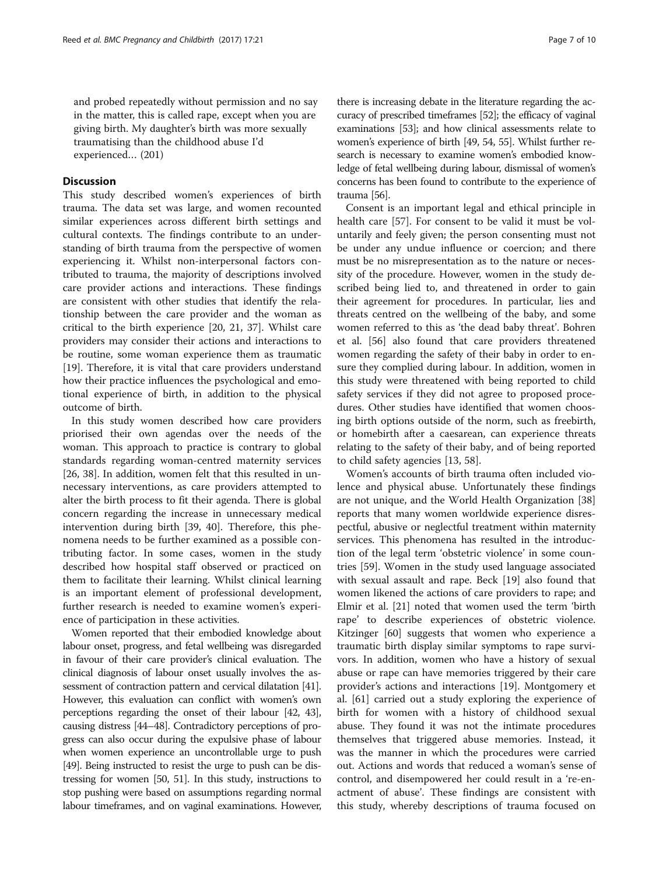and probed repeatedly without permission and no say in the matter, this is called rape, except when you are giving birth. My daughter's birth was more sexually traumatising than the childhood abuse I'd experienced… (201)

# **Discussion**

This study described women's experiences of birth trauma. The data set was large, and women recounted similar experiences across different birth settings and cultural contexts. The findings contribute to an understanding of birth trauma from the perspective of women experiencing it. Whilst non-interpersonal factors contributed to trauma, the majority of descriptions involved care provider actions and interactions. These findings are consistent with other studies that identify the relationship between the care provider and the woman as critical to the birth experience [[20, 21](#page-8-0), [37](#page-8-0)]. Whilst care providers may consider their actions and interactions to be routine, some woman experience them as traumatic [[19\]](#page-8-0). Therefore, it is vital that care providers understand how their practice influences the psychological and emotional experience of birth, in addition to the physical outcome of birth.

In this study women described how care providers priorised their own agendas over the needs of the woman. This approach to practice is contrary to global standards regarding woman-centred maternity services [[26,](#page-8-0) [38\]](#page-9-0). In addition, women felt that this resulted in unnecessary interventions, as care providers attempted to alter the birth process to fit their agenda. There is global concern regarding the increase in unnecessary medical intervention during birth [[39, 40](#page-9-0)]. Therefore, this phenomena needs to be further examined as a possible contributing factor. In some cases, women in the study described how hospital staff observed or practiced on them to facilitate their learning. Whilst clinical learning is an important element of professional development, further research is needed to examine women's experience of participation in these activities.

Women reported that their embodied knowledge about labour onset, progress, and fetal wellbeing was disregarded in favour of their care provider's clinical evaluation. The clinical diagnosis of labour onset usually involves the assessment of contraction pattern and cervical dilatation [\[41](#page-9-0)]. However, this evaluation can conflict with women's own perceptions regarding the onset of their labour [[42](#page-9-0), [43](#page-9-0)], causing distress [\[44](#page-9-0)–[48\]](#page-9-0). Contradictory perceptions of progress can also occur during the expulsive phase of labour when women experience an uncontrollable urge to push [[49](#page-9-0)]. Being instructed to resist the urge to push can be distressing for women [[50](#page-9-0), [51](#page-9-0)]. In this study, instructions to stop pushing were based on assumptions regarding normal labour timeframes, and on vaginal examinations. However,

there is increasing debate in the literature regarding the accuracy of prescribed timeframes [\[52\]](#page-9-0); the efficacy of vaginal examinations [\[53](#page-9-0)]; and how clinical assessments relate to women's experience of birth [\[49](#page-9-0), [54, 55](#page-9-0)]. Whilst further research is necessary to examine women's embodied knowledge of fetal wellbeing during labour, dismissal of women's concerns has been found to contribute to the experience of trauma [\[56\]](#page-9-0).

Consent is an important legal and ethical principle in health care [\[57\]](#page-9-0). For consent to be valid it must be voluntarily and feely given; the person consenting must not be under any undue influence or coercion; and there must be no misrepresentation as to the nature or necessity of the procedure. However, women in the study described being lied to, and threatened in order to gain their agreement for procedures. In particular, lies and threats centred on the wellbeing of the baby, and some women referred to this as 'the dead baby threat'. Bohren et al. [\[56](#page-9-0)] also found that care providers threatened women regarding the safety of their baby in order to ensure they complied during labour. In addition, women in this study were threatened with being reported to child safety services if they did not agree to proposed procedures. Other studies have identified that women choosing birth options outside of the norm, such as freebirth, or homebirth after a caesarean, can experience threats relating to the safety of their baby, and of being reported to child safety agencies [\[13,](#page-8-0) [58\]](#page-9-0).

Women's accounts of birth trauma often included violence and physical abuse. Unfortunately these findings are not unique, and the World Health Organization [[38](#page-9-0)] reports that many women worldwide experience disrespectful, abusive or neglectful treatment within maternity services. This phenomena has resulted in the introduction of the legal term 'obstetric violence' in some countries [[59\]](#page-9-0). Women in the study used language associated with sexual assault and rape. Beck [[19](#page-8-0)] also found that women likened the actions of care providers to rape; and Elmir et al. [[21\]](#page-8-0) noted that women used the term 'birth rape' to describe experiences of obstetric violence. Kitzinger [\[60](#page-9-0)] suggests that women who experience a traumatic birth display similar symptoms to rape survivors. In addition, women who have a history of sexual abuse or rape can have memories triggered by their care provider's actions and interactions [[19\]](#page-8-0). Montgomery et al. [\[61\]](#page-9-0) carried out a study exploring the experience of birth for women with a history of childhood sexual abuse. They found it was not the intimate procedures themselves that triggered abuse memories. Instead, it was the manner in which the procedures were carried out. Actions and words that reduced a woman's sense of control, and disempowered her could result in a 're-enactment of abuse'. These findings are consistent with this study, whereby descriptions of trauma focused on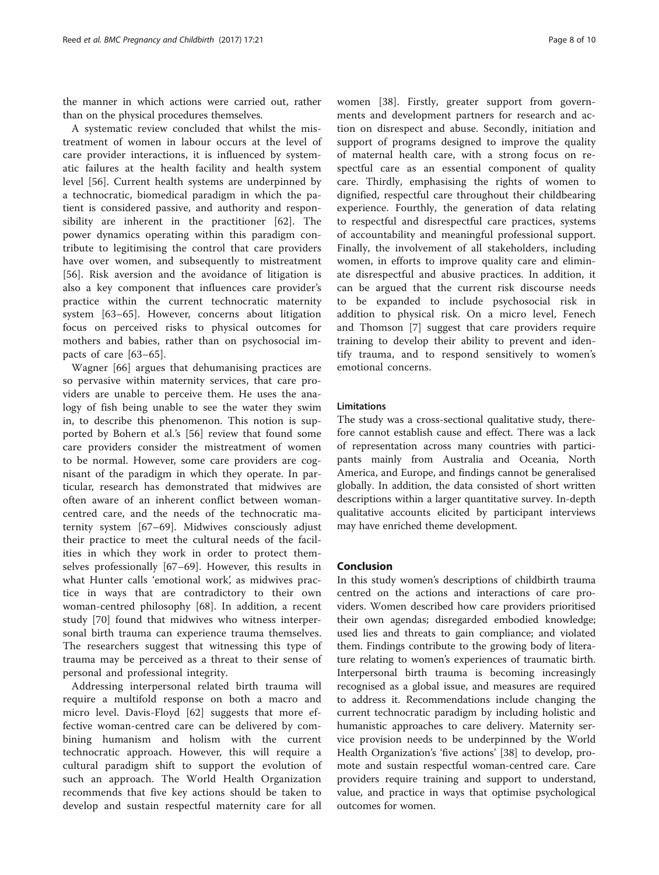the manner in which actions were carried out, rather than on the physical procedures themselves.

A systematic review concluded that whilst the mistreatment of women in labour occurs at the level of care provider interactions, it is influenced by systematic failures at the health facility and health system level [\[56](#page-9-0)]. Current health systems are underpinned by a technocratic, biomedical paradigm in which the patient is considered passive, and authority and responsibility are inherent in the practitioner [[62](#page-9-0)]. The power dynamics operating within this paradigm contribute to legitimising the control that care providers have over women, and subsequently to mistreatment [[56\]](#page-9-0). Risk aversion and the avoidance of litigation is also a key component that influences care provider's practice within the current technocratic maternity system [[63](#page-9-0)–[65](#page-9-0)]. However, concerns about litigation focus on perceived risks to physical outcomes for mothers and babies, rather than on psychosocial impacts of care [[63](#page-9-0)–[65\]](#page-9-0).

Wagner [\[66](#page-9-0)] argues that dehumanising practices are so pervasive within maternity services, that care providers are unable to perceive them. He uses the analogy of fish being unable to see the water they swim in, to describe this phenomenon. This notion is supported by Bohern et al.'s [[56\]](#page-9-0) review that found some care providers consider the mistreatment of women to be normal. However, some care providers are cognisant of the paradigm in which they operate. In particular, research has demonstrated that midwives are often aware of an inherent conflict between womancentred care, and the needs of the technocratic maternity system [[67](#page-9-0)–[69](#page-9-0)]. Midwives consciously adjust their practice to meet the cultural needs of the facilities in which they work in order to protect themselves professionally [[67](#page-9-0)–[69\]](#page-9-0). However, this results in what Hunter calls 'emotional work', as midwives practice in ways that are contradictory to their own woman-centred philosophy [\[68](#page-9-0)]. In addition, a recent study [[70\]](#page-9-0) found that midwives who witness interpersonal birth trauma can experience trauma themselves. The researchers suggest that witnessing this type of trauma may be perceived as a threat to their sense of personal and professional integrity.

Addressing interpersonal related birth trauma will require a multifold response on both a macro and micro level. Davis-Floyd [\[62](#page-9-0)] suggests that more effective woman-centred care can be delivered by combining humanism and holism with the current technocratic approach. However, this will require a cultural paradigm shift to support the evolution of such an approach. The World Health Organization recommends that five key actions should be taken to develop and sustain respectful maternity care for all

women [[38\]](#page-9-0). Firstly, greater support from governments and development partners for research and action on disrespect and abuse. Secondly, initiation and support of programs designed to improve the quality of maternal health care, with a strong focus on respectful care as an essential component of quality care. Thirdly, emphasising the rights of women to dignified, respectful care throughout their childbearing experience. Fourthly, the generation of data relating to respectful and disrespectful care practices, systems of accountability and meaningful professional support. Finally, the involvement of all stakeholders, including women, in efforts to improve quality care and eliminate disrespectful and abusive practices. In addition, it can be argued that the current risk discourse needs to be expanded to include psychosocial risk in addition to physical risk. On a micro level, Fenech and Thomson [[7](#page-8-0)] suggest that care providers require training to develop their ability to prevent and identify trauma, and to respond sensitively to women's emotional concerns.

# Limitations

The study was a cross-sectional qualitative study, therefore cannot establish cause and effect. There was a lack of representation across many countries with participants mainly from Australia and Oceania, North America, and Europe, and findings cannot be generalised globally. In addition, the data consisted of short written descriptions within a larger quantitative survey. In-depth qualitative accounts elicited by participant interviews may have enriched theme development.

# Conclusion

In this study women's descriptions of childbirth trauma centred on the actions and interactions of care providers. Women described how care providers prioritised their own agendas; disregarded embodied knowledge; used lies and threats to gain compliance; and violated them. Findings contribute to the growing body of literature relating to women's experiences of traumatic birth. Interpersonal birth trauma is becoming increasingly recognised as a global issue, and measures are required to address it. Recommendations include changing the current technocratic paradigm by including holistic and humanistic approaches to care delivery. Maternity service provision needs to be underpinned by the World Health Organization's 'five actions' [\[38](#page-9-0)] to develop, promote and sustain respectful woman-centred care. Care providers require training and support to understand, value, and practice in ways that optimise psychological outcomes for women.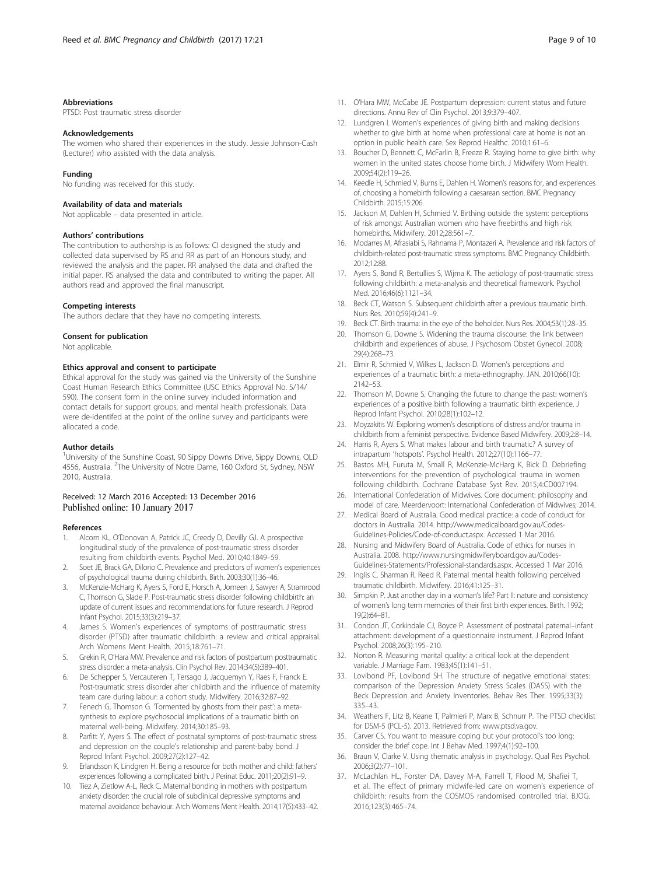#### <span id="page-8-0"></span>Abbreviations

PTSD: Post traumatic stress disorder

#### Acknowledgements

The women who shared their experiences in the study. Jessie Johnson-Cash (Lecturer) who assisted with the data analysis.

#### Funding

No funding was received for this study.

#### Availability of data and materials

Not applicable – data presented in article.

#### Authors' contributions

The contribution to authorship is as follows: CI designed the study and collected data supervised by RS and RR as part of an Honours study, and reviewed the analysis and the paper. RR analysed the data and drafted the initial paper. RS analysed the data and contributed to writing the paper. All authors read and approved the final manuscript.

#### Competing interests

The authors declare that they have no competing interests.

#### Consent for publication

Not applicable.

### Ethics approval and consent to participate

Ethical approval for the study was gained via the University of the Sunshine Coast Human Research Ethics Committee (USC Ethics Approval No. S/14/ 590). The consent form in the online survey included information and contact details for support groups, and mental health professionals. Data were de-identifed at the point of the online survey and participants were allocated a code.

#### Author details

<sup>1</sup>University of the Sunshine Coast, 90 Sippy Downs Drive, Sippy Downs, QLD 4556, Australia. <sup>2</sup>The University of Notre Dame, 160 Oxford St, Sydney, NSW 2010, Australia.

## Received: 12 March 2016 Accepted: 13 December 2016 Published online: 10 January 2017

#### References

- 1. Alcorn KL, O'Donovan A, Patrick JC, Creedy D, Devilly GJ. A prospective longitudinal study of the prevalence of post-traumatic stress disorder resulting from childbirth events. Psychol Med. 2010;40:1849–59.
- Soet JE, Brack GA, Dilorio C. Prevalence and predictors of women's experiences of psychological trauma during childbirth. Birth. 2003;30(1):36–46.
- 3. McKenzie-McHarg K, Ayers S, Ford E, Horsch A, Jomeen J, Sawyer A, Stramrood C, Thomson G, Slade P. Post-traumatic stress disorder following childbirth: an update of current issues and recommendations for future research. J Reprod Infant Psychol. 2015;33(3):219–37.
- James S. Women's experiences of symptoms of posttraumatic stress disorder (PTSD) after traumatic childbirth: a review and critical appraisal. Arch Womens Ment Health. 2015;18:761–71.
- 5. Grekin R, O'Hara MW. Prevalence and risk factors of postpartum posttraumatic stress disorder: a meta-analysis. Clin Psychol Rev. 2014;34(5):389–401.
- 6. De Schepper S, Vercauteren T, Tersago J, Jacquemyn Y, Raes F, Franck E. Post-traumatic stress disorder after childbirth and the influence of maternity team care during labour: a cohort study. Midwifery. 2016;32:87–92.
- 7. Fenech G, Thomson G. 'Tormented by ghosts from their past': a metasynthesis to explore psychosocial implications of a traumatic birth on maternal well-being. Midwifery. 2014;30:185–93.
- 8. Parfitt Y, Ayers S. The effect of postnatal symptoms of post-traumatic stress and depression on the couple's relationship and parent-baby bond. J Reprod Infant Psychol. 2009;27(2):127–42.
- Erlandsson K, Lindgren H. Being a resource for both mother and child: fathers' experiences following a complicated birth. J Perinat Educ. 2011;20(2):91–9.
- 10. Tiez A, Zietlow A-L, Reck C. Maternal bonding in mothers with postpartum anxiety disorder: the crucial role of subclinical depressive symptoms and maternal avoidance behaviour. Arch Womens Ment Health. 2014;17(5):433–42.
- 11. O'Hara MW, McCabe JE. Postpartum depression: current status and future directions. Annu Rev of Clin Psychol. 2013;9:379–407.
- 12. Lundgren I. Women's experiences of giving birth and making decisions whether to give birth at home when professional care at home is not an option in public health care. Sex Reprod Healthc. 2010;1:61–6.
- 13. Boucher D, Bennett C, McFarlin B, Freeze R. Staying home to give birth: why women in the united states choose home birth. J Midwifery Wom Health. 2009;54(2):119–26.
- 14. Keedle H, Schmied V, Burns E, Dahlen H. Women's reasons for, and experiences of, choosing a homebirth following a caesarean section. BMC Pregnancy Childbirth. 2015;15:206.
- 15. Jackson M, Dahlen H, Schmied V. Birthing outside the system: perceptions of risk amongst Australian women who have freebirths and high risk homebirths. Midwifery. 2012;28:561–7.
- 16. Modarres M, Afrasiabi S, Rahnama P, Montazeri A. Prevalence and risk factors of childbirth-related post-traumatic stress symptoms. BMC Pregnancy Childbirth. 2012;12:88.
- 17. Ayers S, Bond R, Bertullies S, Wijma K. The aetiology of post-traumatic stress following childbirth: a meta-analysis and theoretical framework. Psychol Med. 2016;46(6):1121–34.
- 18. Beck CT, Watson S. Subsequent childbirth after a previous traumatic birth. Nurs Res. 2010;59(4):241–9.
- 19. Beck CT. Birth trauma: in the eye of the beholder. Nurs Res. 2004;53(1):28–35.
- 20. Thomson G, Downe S. Widening the trauma discourse: the link between childbirth and experiences of abuse. J Psychosom Obstet Gynecol. 2008; 29(4):268–73.
- 21. Elmir R, Schmied V, Wilkes L, Jackson D. Women's perceptions and experiences of a traumatic birth: a meta-ethnography. JAN. 2010;66(10): 2142–53.
- 22. Thomson M, Downe S. Changing the future to change the past: women's experiences of a positive birth following a traumatic birth experience. J Reprod Infant Psychol. 2010;28(1):102–12.
- 23. Moyzakitis W. Exploring women's descriptions of distress and/or trauma in childbirth from a feminist perspective. Evidence Based Midwifery. 2009;2:8–14.
- 24. Harris R, Ayers S. What makes labour and birth traumatic? A survey of intrapartum 'hotspots'. Psychol Health. 2012;27(10):1166–77.
- 25. Bastos MH, Furuta M, Small R, McKenzie-McHarg K, Bick D. Debriefing interventions for the prevention of psychological trauma in women following childbirth. Cochrane Database Syst Rev. 2015;4:CD007194.
- 26. International Confederation of Midwives. Core document: philosophy and model of care. Meerdervoort: International Confederation of Midwives; 2014.
- 27. Medical Board of Australia. Good medical practice: a code of conduct for doctors in Australia. 2014. [http://www.medicalboard.gov.au/Codes-](http://www.medicalboard.gov.au/Codes-Guidelines-Policies/Code-of-conduct.aspx)[Guidelines-Policies/Code-of-conduct.aspx.](http://www.medicalboard.gov.au/Codes-Guidelines-Policies/Code-of-conduct.aspx) Accessed 1 Mar 2016.
- 28. Nursing and Midwifery Board of Australia. Code of ethics for nurses in Australia. 2008. [http://www.nursingmidwiferyboard.gov.au/Codes-](http://www.nursingmidwiferyboard.gov.au/Codes-Guidelines-Statements/Professional-standards.aspx)[Guidelines-Statements/Professional-standards.aspx.](http://www.nursingmidwiferyboard.gov.au/Codes-Guidelines-Statements/Professional-standards.aspx) Accessed 1 Mar 2016.
- 29. Inglis C, Sharman R, Reed R. Paternal mental health following perceived traumatic childbirth. Midwifery. 2016;41:125–31.
- 30. Simpkin P. Just another day in a woman's life? Part II: nature and consistency of women's long term memories of their first birth experiences. Birth. 1992; 19(2):64–81.
- 31. Condon JT, Corkindale CJ, Boyce P. Assessment of postnatal paternal–infant attachment: development of a questionnaire instrument. J Reprod Infant Psychol. 2008;26(3):195–210.
- 32. Norton R. Measuring marital quality: a critical look at the dependent variable. J Marriage Fam. 1983;45(1):141–51.
- 33. Lovibond PF, Lovibond SH. The structure of negative emotional states: comparison of the Depression Anxiety Stress Scales (DASS) with the Beck Depression and Anxiety Inventories. Behav Res Ther. 1995;33(3): 335–43.
- 34. Weathers F, Litz B, Keane T, Palmieri P, Marx B, Schnurr P. The PTSD checklist for DSM-5 (PCL-5). 2013. Retrieved from: [www.ptsd.va.gov.](http://www.ptsd.va.gov/)
- 35. Carver CS. You want to measure coping but your protocol's too long: consider the brief cope. Int J Behav Med. 1997;4(1):92–100.
- 36. Braun V, Clarke V. Using thematic analysis in psychology. Qual Res Psychol. 2006;3(2):77–101.
- 37. McLachlan HL, Forster DA, Davey M-A, Farrell T, Flood M, Shafiei T, et al. The effect of primary midwife-led care on women's experience of childbirth: results from the COSMOS randomised controlled trial. BJOG. 2016;123(3):465–74.